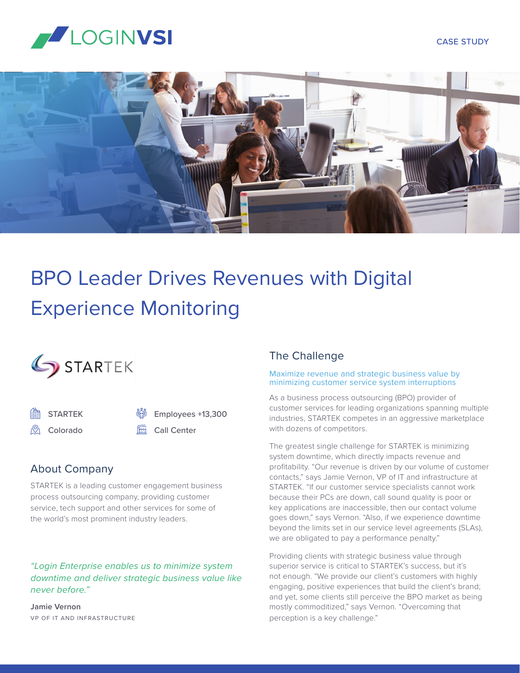#### CASE STUDY





# BPO Leader Drives Revenues with Digital Experience Monitoring



STARTEK /<sup>Q</sup>) Colorado

Employees +13,300

<u>Fin</u> Call Center

# About Company

STARTEK is a leading customer engagement business process outsourcing company, providing customer service, tech support and other services for some of the world's most prominent industry leaders.

## *"Login Enterprise enables us to minimize system downtime and deliver strategic business value like never before."*

**Jamie Vernon** VP OF IT AND INFRASTRUCTURE

## The Challenge

#### Maximize revenue and strategic business value by minimizing customer service system interruptions

As a business process outsourcing (BPO) provider of customer services for leading organizations spanning multiple industries, STARTEK competes in an aggressive marketplace with dozens of competitors.

The greatest single challenge for STARTEK is minimizing system downtime, which directly impacts revenue and profitability. "Our revenue is driven by our volume of customer contacts," says Jamie Vernon, VP of IT and infrastructure at STARTEK. "If our customer service specialists cannot work because their PCs are down, call sound quality is poor or key applications are inaccessible, then our contact volume goes down," says Vernon. "Also, if we experience downtime beyond the limits set in our service level agreements (SLAs), we are obligated to pay a performance penalty."

Providing clients with strategic business value through superior service is critical to STARTEK's success, but it's not enough. "We provide our client's customers with highly engaging, positive experiences that build the client's brand; and yet, some clients still perceive the BPO market as being mostly commoditized," says Vernon. "Overcoming that perception is a key challenge."